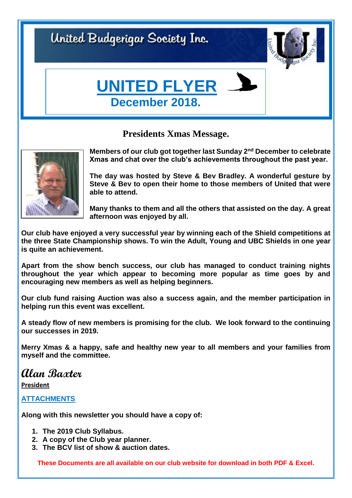United Budgerigar Society Inc.



# **UNITED FLYER December 2018.**

## **Presidents Xmas Message.**



**Members of our club got together last Sunday 2nd December to celebrate Xmas and chat over the club's achievements throughout the past year.**

**The day was hosted by Steve & Bev Bradley. A wonderful gesture by Steve & Bev to open their home to those members of United that were able to attend.**

**Many thanks to them and all the others that assisted on the day. A great afternoon was enjoyed by all.**

**Our club have enjoyed a very successful year by winning each of the Shield competitions at the three State Championship shows. To win the Adult, Young and UBC Shields in one year is quite an achievement.** 

**Apart from the show bench success, our club has managed to conduct training nights throughout the year which appear to becoming more popular as time goes by and encouraging new members as well as helping beginners.**

**Our club fund raising Auction was also a success again, and the member participation in helping run this event was excellent.**

**A steady flow of new members is promising for the club. We look forward to the continuing our successes in 2019.**

**Merry Xmas & a happy, safe and healthy new year to all members and your families from myself and the committee.**

## **Alan Baxter**

**President**

### **ATTACHMENTS**

**Along with this newsletter you should have a copy of:**

- **1. The 2019 Club Syllabus.**
- **2. A copy of the Club year planner.**
- **3. The BCV list of show & auction dates.**

**These Documents are all available on our club website for download in both PDF & Excel.**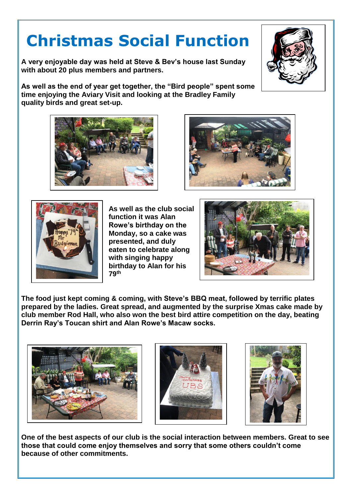# **Christmas Social Function**

**A very enjoyable day was held at Steve & Bev's house last Sunday with about 20 plus members and partners.**

**As well as the end of year get together, the "Bird people" spent some time enjoying the Aviary Visit and looking at the Bradley Family quality birds and great set-up.**



**As well as the club social function it was Alan Rowe's birthday on the Monday, so a cake was presented, and duly eaten to celebrate along with singing happy birthday to Alan for his 79th**

**The food just kept coming & coming, with Steve's BBQ meat, followed by terrific plates prepared by the ladies. Great spread, and augmented by the surprise Xmas cake made by club member Rod Hall, who also won the best bird attire competition on the day, beating Derrin Ray's Toucan shirt and Alan Rowe's Macaw socks.**







**One of the best aspects of our club is the social interaction between members. Great to see those that could come enjoy themselves and sorry that some others couldn't come because of other commitments.**







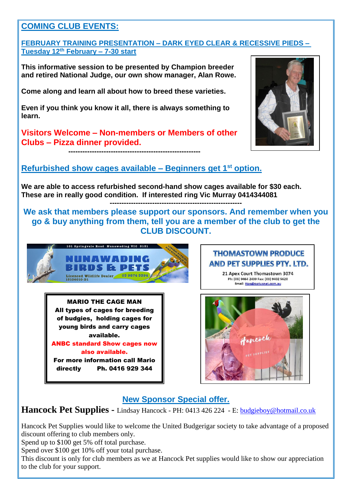

#### **FEBRUARY TRAINING PRESENTATION – DARK EYED CLEAR & RECESSIVE PIEDS – Tuesday 12 th February – 7-30 start**

**This informative session to be presented by Champion breeder and retired National Judge, our own show manager, Alan Rowe.**

**Come along and learn all about how to breed these varieties.**

**Even if you think you know it all, there is always something to learn.**

**Visitors Welcome – Non-members or Members of other Clubs – Pizza dinner provided.**

**--------------------------------------------------------**



## **Refurbished show cages available – Beginners get 1st option.**

**We are able to access refurbished second-hand show cages available for \$30 each. These are in really good condition. If interested ring Vic Murray 0414344081 --------------------------------------------------------**

**We ask that members please support our sponsors. And remember when you go & buy anything from them, tell you are a member of the club to get the CLUB DISCOUNT.**



MARIO THE CAGE MAN All types of cages for breeding of budgies, holding cages for young birds and carry cages available.

ANBC standard Show cages now also available.

For more information call Mario directly Ph. 0416 929 344

#### **THOMASTOWN PRODUCE** AND PET SUPPLIES PTY, LTD.

21 Apex Court Thomastown 3074 Ph: (03) 9464 2439 Fax: (03) 9402 5620 Email: ttps@optusnet.com.au



## **New Sponsor Special offer.**

### **Hancock Pet Supplies -** Lindsay Hancock - PH: 0413 426 224 - E: **budgieboy@hotmail.co.uk**

Hancock Pet Supplies would like to welcome the United Budgerigar society to take advantage of a proposed discount offering to club members only.

Spend up to \$100 get 5% off total purchase.

Spend over \$100 get 10% off your total purchase.

This discount is only for club members as we at Hancock Pet supplies would like to show our appreciation to the club for your support.